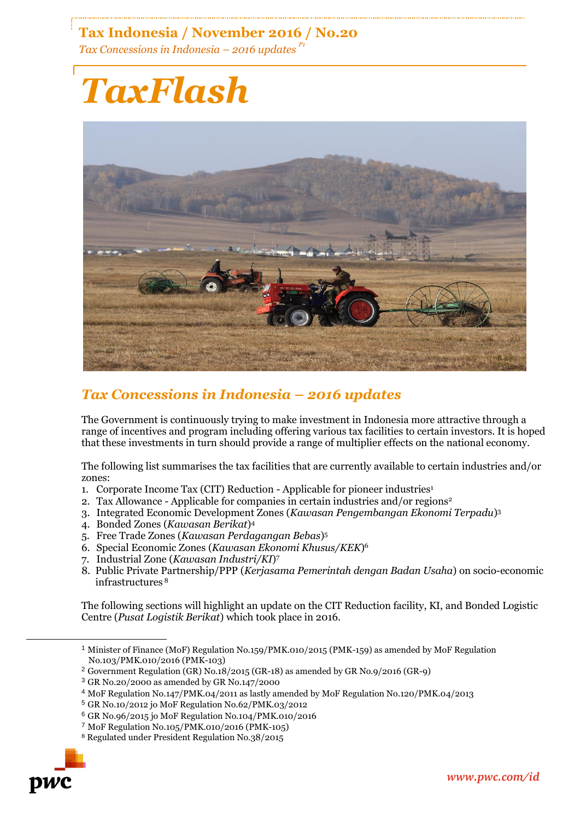## **Tax Indonesia / November 2016 / No.20**

*Tax Concessions in Indonesia – 2016 updates P1*

# *TaxFlash*



### *Tax Concessions in Indonesia – 2016 updates*

The Government is continuously trying to make investment in Indonesia more attractive through a range of incentives and program including offering various tax facilities to certain investors. It is hoped that these investments in turn should provide a range of multiplier effects on the national economy.

The following list summarises the tax facilities that are currently available to certain industries and/or zones:

- 1. Corporate Income Tax (CIT) Reduction Applicable for pioneer industries<sup>1</sup>
- 2. Tax Allowance Applicable for companies in certain industries and/or regions<sup>2</sup>
- 3. Integrated Economic Development Zones (*Kawasan Pengembangan Ekonomi Terpadu*) 3
- 4. Bonded Zones (*Kawasan Berikat*) 4
- 5. Free Trade Zones (*Kawasan Perdagangan Bebas*) 5
- 6. Special Economic Zones (*Kawasan Ekonomi Khusus/KEK*) 6
- 7. Industrial Zone (*Kawasan Industri/KI*) 7
- 8. Public Private Partnership/PPP (*Kerjasama Pemerintah dengan Badan Usaha*) on socio-economic infrastructures <sup>8</sup>

The following sections will highlight an update on the CIT Reduction facility, KI, and Bonded Logistic Centre (*Pusat Logistik Berikat*) which took place in 2016.

<sup>8</sup> Regulated under President Regulation No.38/2015



-

<sup>1</sup> Minister of Finance (MoF) Regulation No.159/PMK.010/2015 (PMK-159) as amended by MoF Regulation No.103/PMK.010/2016 (PMK-103)

<sup>2</sup> Government Regulation (GR) No.18/2015 (GR-18) as amended by GR No.9/2016 (GR-9)

<sup>3</sup> GR No.20/2000 as amended by GR No.147/2000

<sup>4</sup> MoF Regulation No.147/PMK.04/2011 as lastly amended by MoF Regulation No.120/PMK.04/2013

<sup>5</sup> GR No.10/2012 jo MoF Regulation No.62/PMK.03/2012

<sup>6</sup> GR No.96/2015 jo MoF Regulation No.104/PMK.010/2016

<sup>7</sup> MoF Regulation No.105/PMK.010/2016 (PMK-105)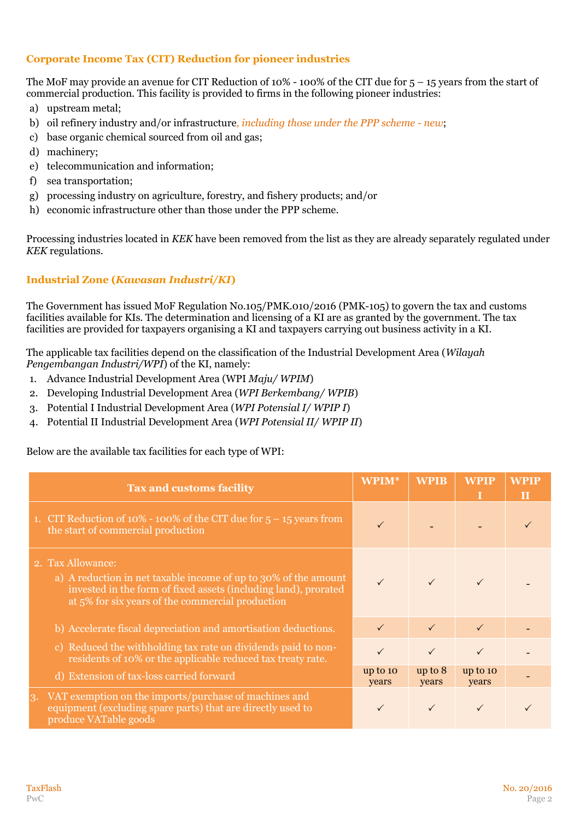#### **Corporate Income Tax (CIT) Reduction for pioneer industries**

The MoF may provide an avenue for CIT Reduction of 10% - 100% of the CIT due for 5 – 15 years from the start of commercial production. This facility is provided to firms in the following pioneer industries:

- a) upstream metal;
- b) oil refinery industry and/or infrastructure*, including those under the PPP scheme - new*;
- c) base organic chemical sourced from oil and gas;
- d) machinery;
- e) telecommunication and information;
- f) sea transportation;
- g) processing industry on agriculture, forestry, and fishery products; and/or
- h) economic infrastructure other than those under the PPP scheme.

Processing industries located in *KEK* have been removed from the list as they are already separately regulated under *KEK* regulations.

#### **Industrial Zone (***Kawasan Industri/KI***)**

The Government has issued MoF Regulation No.105/PMK.010/2016 (PMK-105) to govern the tax and customs facilities available for KIs. The determination and licensing of a KI are as granted by the government. The tax facilities are provided for taxpayers organising a KI and taxpayers carrying out business activity in a KI.

The applicable tax facilities depend on the classification of the Industrial Development Area (*Wilayah Pengembangan Industri/WPI*) of the KI, namely:

- 1. Advance Industrial Development Area (WPI *Maju/ WPIM*)
- 2. Developing Industrial Development Area (*WPI Berkembang/ WPIB*)
- 3. Potential I Industrial Development Area (*WPI Potensial I/ WPIP I*)
- 4. Potential II Industrial Development Area (*WPI Potensial II/ WPIP II*)

Below are the available tax facilities for each type of WPI:

| <b>Tax and customs facility</b>                                                                                                                                                                             | <b>WPIM*</b>        | <b>WPIB</b>      | <b>WPIP</b>       | <b>WPIP</b><br>$\mathbf{H}$ |
|-------------------------------------------------------------------------------------------------------------------------------------------------------------------------------------------------------------|---------------------|------------------|-------------------|-----------------------------|
| 1. CIT Reduction of 10% - 100% of the CIT due for $5 - 15$ years from<br>the start of commercial production                                                                                                 | $\checkmark$        |                  |                   |                             |
| 2. Tax Allowance:<br>a) A reduction in net taxable income of up to 30% of the amount<br>invested in the form of fixed assets (including land), prorated<br>at 5% for six years of the commercial production | $\checkmark$        |                  |                   |                             |
| b) Accelerate fiscal depreciation and amortisation deductions.                                                                                                                                              | $\checkmark$        | $\checkmark$     | $\checkmark$      |                             |
| Reduced the withholding tax rate on dividends paid to non-<br>$\mathbf{c}$<br>residents of 10% or the applicable reduced tax treaty rate.                                                                   |                     |                  |                   |                             |
| d) Extension of tax-loss carried forward                                                                                                                                                                    | $up$ to 10<br>years | up to 8<br>years | up to 10<br>years |                             |
| VAT exemption on the imports/purchase of machines and<br>3.<br>equipment (excluding spare parts) that are directly used to<br>produce VATable goods                                                         |                     |                  |                   |                             |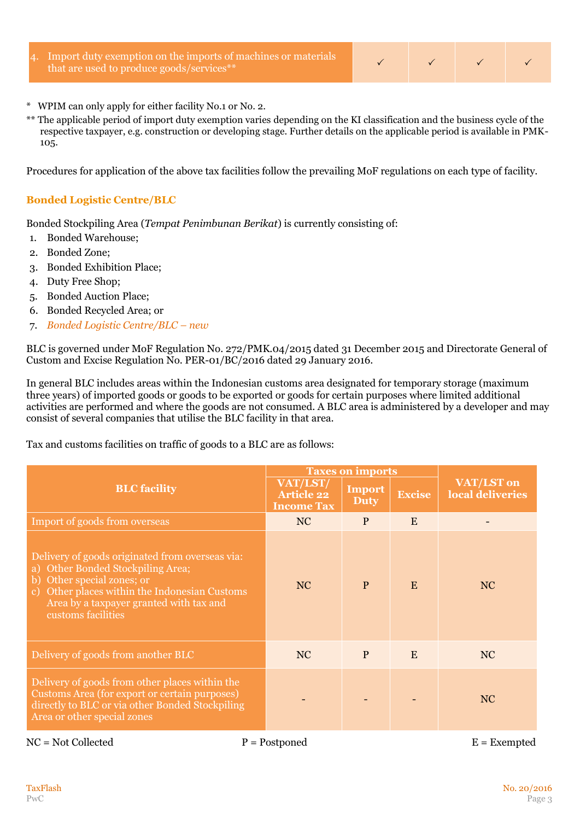Import duty exemption on the imports of machines or materials that are used to produce goods/services\*\*



- \* WPIM can only apply for either facility No.1 or No. 2.
- \*\* The applicable period of import duty exemption varies depending on the KI classification and the business cycle of the respective taxpayer, e.g. construction or developing stage. Further details on the applicable period is available in PMK-105.

Procedures for application of the above tax facilities follow the prevailing MoF regulations on each type of facility.

#### **Bonded Logistic Centre/BLC**

Bonded Stockpiling Area (*Tempat Penimbunan Berikat*) is currently consisting of:

- 1. Bonded Warehouse;
- 2. Bonded Zone;
- 3. Bonded Exhibition Place;
- 4. Duty Free Shop;
- 5. Bonded Auction Place;
- 6. Bonded Recycled Area; or
- 7. *Bonded Logistic Centre/BLC – new*

BLC is governed under MoF Regulation No. 272/PMK.04/2015 dated 31 December 2015 and Directorate General of Custom and Excise Regulation No. PER-01/BC/2016 dated 29 January 2016.

In general BLC includes areas within the Indonesian customs area designated for temporary storage (maximum three years) of imported goods or goods to be exported or goods for certain purposes where limited additional activities are performed and where the goods are not consumed. A BLC area is administered by a developer and may consist of several companies that utilise the BLC facility in that area.

#### Tax and customs facilities on traffic of goods to a BLC are as follows:

|                                                                                                                                                                                                                                      | <b>Taxes on imports</b>                            |                              |               |                                |  |
|--------------------------------------------------------------------------------------------------------------------------------------------------------------------------------------------------------------------------------------|----------------------------------------------------|------------------------------|---------------|--------------------------------|--|
| <b>BLC</b> facility                                                                                                                                                                                                                  | VAT/LST/<br><b>Article 22</b><br><b>Income Tax</b> | <b>Import</b><br><b>Duty</b> | <b>Excise</b> | VAT/LST on<br>local deliveries |  |
| Import of goods from overseas                                                                                                                                                                                                        | <b>NC</b>                                          | P                            | E             |                                |  |
| Delivery of goods originated from overseas via:<br>a) Other Bonded Stockpiling Area;<br>b) Other special zones; or<br>c) Other places within the Indonesian Customs<br>Area by a taxpayer granted with tax and<br>customs facilities | <b>NC</b>                                          | $\mathbf{P}$                 | E             | <b>NC</b>                      |  |
| Delivery of goods from another BLC                                                                                                                                                                                                   | <b>NC</b>                                          | $\mathbf{P}$                 | E             | <b>NC</b>                      |  |
| Delivery of goods from other places within the<br>Customs Area (for export or certain purposes)<br>directly to BLC or via other Bonded Stockpiling<br>Area or other special zones                                                    |                                                    |                              |               | <b>NC</b>                      |  |
| $NC = Not$ Collected                                                                                                                                                                                                                 | $P = Postponed$                                    |                              |               | $E =$ Exempted                 |  |